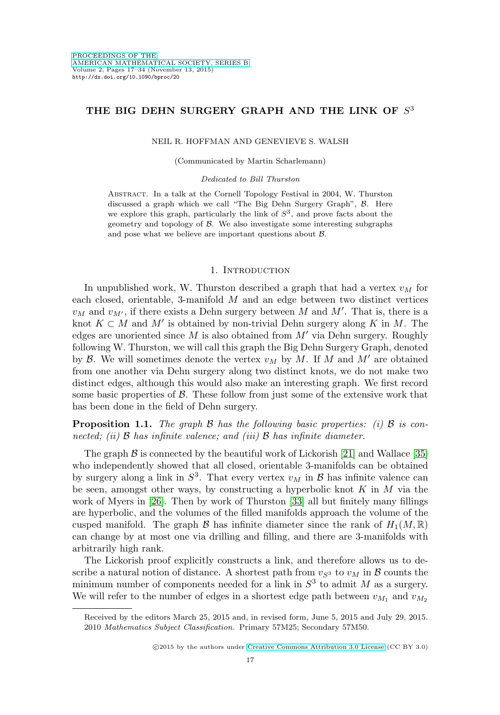## THE BIG DEHN SURGERY GRAPH AND THE LINK OF  $S<sup>3</sup>$

#### NEIL R. HOFFMAN AND GENEVIEVE S. WALSH

(Communicated by Martin Scharlemann)

#### Dedicated to Bill Thurston

Abstract. In a talk at the Cornell Topology Festival in 2004, W. Thurston discussed a graph which we call "The Big Dehn Surgery Graph", B. Here we explore this graph, particularly the link of  $S<sup>3</sup>$ , and prove facts about the geometry and topology of  $\beta$ . We also investigate some interesting subgraphs and pose what we believe are important questions about B.

## 1. INTRODUCTION

In unpublished work, W. Thurston described a graph that had a vertex  $v_M$  for each closed, orientable, 3-manifold M and an edge between two distinct vertices  $v_M$  and  $v_{M'}$ , if there exists a Dehn surgery between M and M'. That is, there is a knot  $K \subset M$  and  $M'$  is obtained by non-trivial Dehn surgery along K in M. The edges are unoriented since  $M$  is also obtained from  $M'$  via Dehn surgery. Roughly following W. Thurston, we will call this graph the Big Dehn Surgery Graph, denoted by  $\mathcal{B}$ . We will sometimes denote the vertex  $v_M$  by  $M$ . If  $M$  and  $M'$  are obtained from one another via Dehn surgery along two distinct knots, we do not make two distinct edges, although this would also make an interesting graph. We first record some basic properties of  $\beta$ . These follow from just some of the extensive work that has been done in the field of Dehn surgery.

**Proposition 1.1.** The graph  $\beta$  has the following basic properties: (i)  $\beta$  is connected; (ii)  $\beta$  has infinite valence; and (iii)  $\beta$  has infinite diameter.

The graph  $\beta$  is connected by the beautiful work of Lickorish [\[21\]](#page-17-0) and Wallace [\[35\]](#page-17-1) who independently showed that all closed, orientable 3-manifolds can be obtained by surgery along a link in  $S^3$ . That every vertex  $v_M$  in  $\beta$  has infinite valence can be seen, amongst other ways, by constructing a hyperbolic knot  $K$  in  $M$  via the work of Myers in [\[26\]](#page-17-2). Then by work of Thurston [\[33\]](#page-17-3) all but finitely many fillings are hyperbolic, and the volumes of the filled manifolds approach the volume of the cusped manifold. The graph  $\mathcal B$  has infinite diameter since the rank of  $H_1(M,\mathbb R)$ can change by at most one via drilling and filling, and there are 3-manifolds with arbitrarily high rank.

The Lickorish proof explicitly constructs a link, and therefore allows us to describe a natural notion of distance. A shortest path from  $v_{S3}$  to  $v_M$  in B counts the minimum number of components needed for a link in  $S<sup>3</sup>$  to admit M as a surgery. We will refer to the number of edges in a shortest edge path between  $v_{M_1}$  and  $v_{M_2}$ 

Received by the editors March 25, 2015 and, in revised form, June 5, 2015 and July 29, 2015. 2010 Mathematics Subject Classification. Primary 57M25; Secondary 57M50.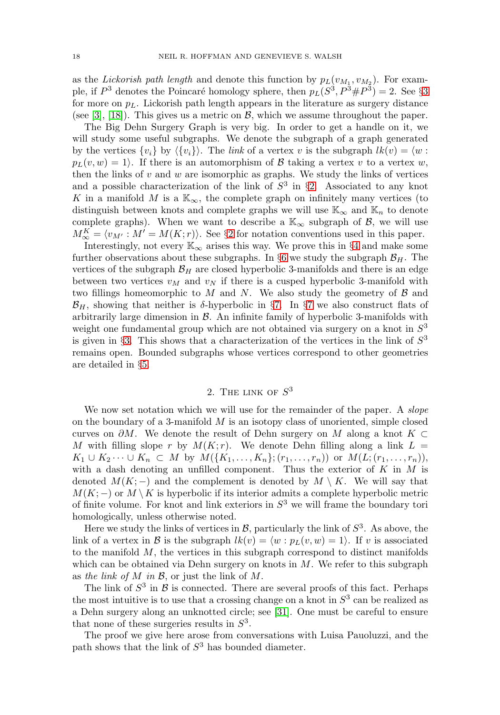as the Lickorish path length and denote this function by  $p_L(v_{M_1}, v_{M_2})$ . For example, if  $P^3$  $P^3$  denotes the Poincaré homology sphere, then  $p_L(S^3, P^3 \# P^3) = 2$ . See §3 for more on  $p_L$ . Lickorish path length appears in the literature as surgery distance (see [\[3\]](#page-16-0), [\[18\]](#page-17-4)). This gives us a metric on  $\mathcal{B}$ , which we assume throughout the paper.

The Big Dehn Surgery Graph is very big. In order to get a handle on it, we will study some useful subgraphs. We denote the subgraph of a graph generated by the vertices  $\{v_i\}$  by  $\langle \{v_i\} \rangle$ . The link of a vertex v is the subgraph  $lk(v) = \langle w :$  $p_L(v, w) = 1$ . If there is an automorphism of B taking a vertex v to a vertex w, then the links of  $v$  and  $w$  are isomorphic as graphs. We study the links of vertices and a possible characterization of the link of  $S<sup>3</sup>$  in §[2.](#page-1-0) Associated to any knot K in a manifold M is a  $\mathbb{K}_{\infty}$ , the complete graph on infinitely many vertices (to distinguish between knots and complete graphs we will use  $\mathbb{K}_{\infty}$  and  $\mathbb{K}_{n}$  to denote complete graphs). When we want to describe a  $\mathbb{K}_{\infty}$  subgraph of  $\mathcal{B}$ , we will use  $M_{\infty}^K = \langle v_{M'} : M' = M(K; r) \rangle$ . See §[2](#page-1-0) for notation conventions used in this paper.

Interestingly, not every  $\mathbb{K}_{\infty}$  arises this way. We prove this in §[4](#page-7-0) and make some further observations about these subgraphs. In §[6](#page-10-0) we study the subgraph  $\mathcal{B}_H$ . The vertices of the subgraph  $\mathcal{B}_H$  are closed hyperbolic 3-manifolds and there is an edge between two vertices  $v_M$  and  $v_N$  if there is a cusped hyperbolic 3-manifold with two fillings homeomorphic to M and N. We also study the geometry of  $\beta$  and  $\mathcal{B}_H$ , showing that neither is δ-hyperbolic in §[7.](#page-13-0) In §[7](#page-13-0) we also construct flats of arbitrarily large dimension in  $\mathcal{B}$ . An infinite family of hyperbolic 3-manifolds with weight one fundamental group which are not obtained via surgery on a knot in  $S<sup>3</sup>$ is given in §[3.](#page-2-0) This shows that a characterization of the vertices in the link of  $S^3$ remains open. Bounded subgraphs whose vertices correspond to other geometries are detailed in §[5.](#page-9-0)

## 2. THE LINK OF  $S^3$

<span id="page-1-0"></span>We now set notation which we will use for the remainder of the paper. A *slope* on the boundary of a 3-manifold  $M$  is an isotopy class of unoriented, simple closed curves on  $\partial M$ . We denote the result of Dehn surgery on M along a knot K ⊂ M with filling slope r by  $M(K; r)$ . We denote Dehn filling along a link  $L =$  $K_1 \cup K_2 \cdots \cup K_n \subset M$  by  $M(\{K_1,\ldots,K_n\}; (r_1,\ldots,r_n))$  or  $M(L; (r_1,\ldots,r_n)),$ with a dash denoting an unfilled component. Thus the exterior of  $K$  in  $M$  is denoted  $M(K; -)$  and the complement is denoted by  $M \setminus K$ . We will say that  $M(K; -)$  or  $M \setminus K$  is hyperbolic if its interior admits a complete hyperbolic metric of finite volume. For knot and link exteriors in  $S<sup>3</sup>$  we will frame the boundary tori homologically, unless otherwise noted.

Here we study the links of vertices in  $\mathcal{B}$ , particularly the link of  $S^3$ . As above, the link of a vertex in B is the subgraph  $lk(v) = \langle w : p_L(v, w) = 1 \rangle$ . If v is associated to the manifold  $M$ , the vertices in this subgraph correspond to distinct manifolds which can be obtained via Dehn surgery on knots in  $M$ . We refer to this subgraph as the link of  $M$  in  $\mathcal{B}$ , or just the link of  $M$ .

The link of  $S^3$  in  $\beta$  is connected. There are several proofs of this fact. Perhaps the most intuitive is to use that a crossing change on a knot in  $S<sup>3</sup>$  can be realized as a Dehn surgery along an unknotted circle; see [\[31\]](#page-17-5). One must be careful to ensure that none of these surgeries results in  $S<sup>3</sup>$ .

The proof we give here arose from conversations with Luisa Pauoluzzi, and the path shows that the link of  $S<sup>3</sup>$  has bounded diameter.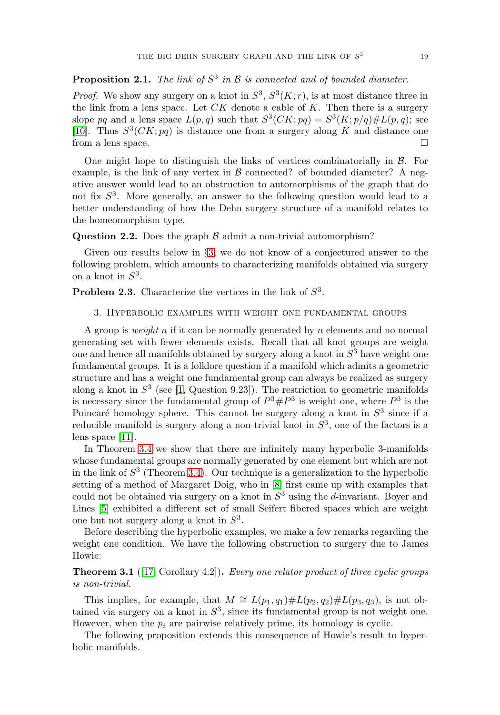## **Proposition 2.1.** The link of  $S^3$  in  $\mathcal B$  is connected and of bounded diameter.

*Proof.* We show any surgery on a knot in  $S^3$ ,  $S^3(K; r)$ , is at most distance three in the link from a lens space. Let  $CK$  denote a cable of  $K$ . Then there is a surgery slope pq and a lens space  $L(p,q)$  such that  $S^3(CK; pq) = S^3(K; p/q) \# L(p,q)$ ; see [\[10\]](#page-16-1). Thus  $S^3(CK; pq)$  is distance one from a surgery along K and distance one from a lens space.

One might hope to distinguish the links of vertices combinatorially in  $\beta$ . For example, is the link of any vertex in  $\beta$  connected? of bounded diameter? A negative answer would lead to an obstruction to automorphisms of the graph that do not fix  $S<sup>3</sup>$ . More generally, an answer to the following question would lead to a better understanding of how the Dehn surgery structure of a manifold relates to the homeomorphism type.

**Question 2.2.** Does the graph  $\beta$  admit a non-trivial automorphism?

Given our results below in §[3,](#page-2-0) we do not know of a conjectured answer to the following problem, which amounts to characterizing manifolds obtained via surgery on a knot in  $S^3$ .

<span id="page-2-0"></span>**Problem 2.3.** Characterize the vertices in the link of  $S<sup>3</sup>$ .

#### 3. Hyperbolic examples with weight one fundamental groups

A group is *weight* n if it can be normally generated by n elements and no normal generating set with fewer elements exists. Recall that all knot groups are weight one and hence all manifolds obtained by surgery along a knot in  $S<sup>3</sup>$  have weight one fundamental groups. It is a folklore question if a manifold which admits a geometric structure and has a weight one fundamental group can always be realized as surgery along a knot in  $S<sup>3</sup>$  (see [\[1,](#page-16-2) Question 9.23]). The restriction to geometric manifolds is necessary since the fundamental group of  $P^3 \# P^3$  is weight one, where  $P^3$  is the Poincaré homology sphere. This cannot be surgery along a knot in  $S<sup>3</sup>$  since if a reducible manifold is surgery along a non-trivial knot in  $S<sup>3</sup>$ , one of the factors is a lens space [\[11\]](#page-16-3).

In Theorem [3.4](#page-4-0) we show that there are infinitely many hyperbolic 3-manifolds whose fundamental groups are normally generated by one element but which are not in the link of  $S<sup>3</sup>$  (Theorem [3.4\)](#page-4-0). Our technique is a generalization to the hyperbolic setting of a method of Margaret Doig, who in [\[8\]](#page-16-4) first came up with examples that could not be obtained via surgery on a knot in  $S<sup>3</sup>$  using the d-invariant. Boyer and Lines [\[5\]](#page-16-5) exhibited a different set of small Seifert fibered spaces which are weight one but not surgery along a knot in  $S<sup>3</sup>$ .

Before describing the hyperbolic examples, we make a few remarks regarding the weight one condition. We have the following obstruction to surgery due to James Howie:

**Theorem 3.1** ([\[17,](#page-17-6) Corollary 4.2]). Every one relator product of three cyclic groups is non-trivial.

This implies, for example, that  $M \cong L(p_1, q_1) \# L(p_2, q_2) \# L(p_3, q_3)$ , is not obtained via surgery on a knot in  $S<sup>3</sup>$ , since its fundamental group is not weight one. However, when the  $p_i$  are pairwise relatively prime, its homology is cyclic.

The following proposition extends this consequence of Howie's result to hyperbolic manifolds.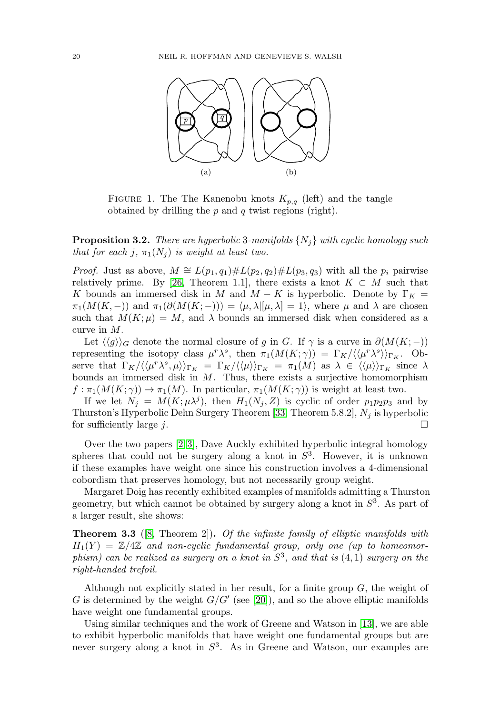<span id="page-3-1"></span><span id="page-3-0"></span>

FIGURE 1. The The Kanenobu knots  $K_{p,q}$  (left) and the tangle obtained by drilling the  $p$  and  $q$  twist regions (right).

**Proposition 3.2.** There are hyperbolic 3-manifolds  $\{N_j\}$  with cyclic homology such that for each j,  $\pi_1(N_i)$  is weight at least two.

*Proof.* Just as above,  $M \cong L(p_1, q_1) \# L(p_2, q_2) \# L(p_3, q_3)$  with all the  $p_i$  pairwise relatively prime. By [\[26,](#page-17-2) Theorem 1.1], there exists a knot  $K \subset M$  such that K bounds an immersed disk in M and  $M - K$  is hyperbolic. Denote by  $\Gamma_K =$  $\pi_1(M(K,-))$  and  $\pi_1(\partial(M(K; -))) = \langle \mu, \lambda | [\mu, \lambda] = 1 \rangle$ , where  $\mu$  and  $\lambda$  are chosen such that  $M(K; \mu) = M$ , and  $\lambda$  bounds an immersed disk when considered as a curve in M.

Let  $\langle \langle g \rangle \rangle_G$  denote the normal closure of g in G. If  $\gamma$  is a curve in  $\partial(M(K; -))$ representing the isotopy class  $\mu^r \lambda^s$ , then  $\pi_1(M(K; \gamma)) = \Gamma_K/\langle \mu^r \lambda^s \rangle_{\Gamma_K}$ . Observe that  $\Gamma_K/\langle\langle \mu^r \lambda^s, \mu \rangle\rangle_{\Gamma_K} = \Gamma_K/\langle\langle \mu \rangle\rangle_{\Gamma_K} = \pi_1(M)$  as  $\lambda \in \langle\langle \mu \rangle\rangle_{\Gamma_K}$  since  $\lambda$ bounds an immersed disk in  $M$ . Thus, there exists a surjective homomorphism  $f : \pi_1(M(K; \gamma)) \to \pi_1(M)$ . In particular,  $\pi_1(M(K; \gamma))$  is weight at least two.

If we let  $N_j = M(K; \mu \lambda^j)$ , then  $H_1(N_j, Z)$  is cyclic of order  $p_1p_2p_3$  and by Thurston's Hyperbolic Dehn Surgery Theorem [\[33,](#page-17-3) Theorem 5.8.2],  $N_j$  is hyperbolic for sufficiently large  $j$ .  $\Box$ 

Over the two papers [\[2,](#page-16-6) [3\]](#page-16-0), Dave Auckly exhibited hyperbolic integral homology spheres that could not be surgery along a knot in  $S<sup>3</sup>$ . However, it is unknown if these examples have weight one since his construction involves a 4-dimensional cobordism that preserves homology, but not necessarily group weight.

Margaret Doig has recently exhibited examples of manifolds admitting a Thurston geometry, but which cannot be obtained by surgery along a knot in  $S<sup>3</sup>$ . As part of a larger result, she shows:

**Theorem 3.3** ([\[8,](#page-16-4) Theorem 2])**.** Of the infinite family of elliptic manifolds with  $H_1(Y) = \mathbb{Z}/4\mathbb{Z}$  and non-cyclic fundamental group, only one (up to homeomorphism) can be realized as surgery on a knot in  $S<sup>3</sup>$ , and that is  $(4, 1)$  surgery on the right-handed trefoil.

Although not explicitly stated in her result, for a finite group  $G$ , the weight of G is determined by the weight  $G/G'$  (see [\[20\]](#page-17-7)), and so the above elliptic manifolds have weight one fundamental groups.

Using similar techniques and the work of Greene and Watson in [\[13\]](#page-16-7), we are able to exhibit hyperbolic manifolds that have weight one fundamental groups but are never surgery along a knot in  $S<sup>3</sup>$ . As in Greene and Watson, our examples are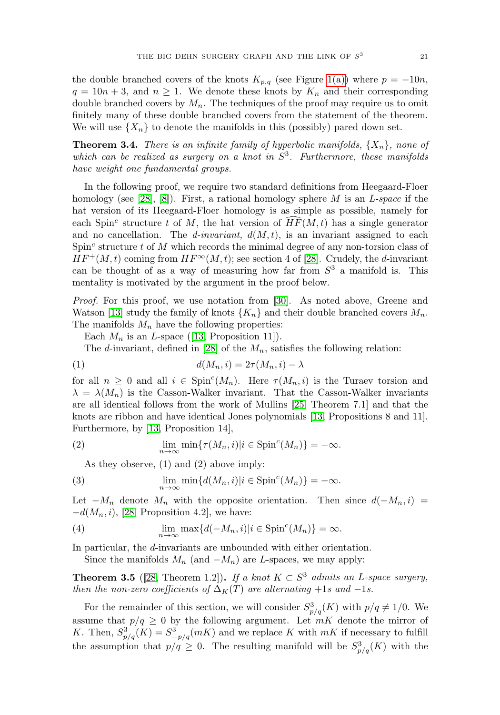the double branched covers of the knots  $K_{p,q}$  (see Figure [1\(a\)\)](#page-3-0) where  $p = -10n$ ,  $q = 10n + 3$ , and  $n \ge 1$ . We denote these knots by  $K_n$  and their corresponding double branched covers by  $M_n$ . The techniques of the proof may require us to omit finitely many of these double branched covers from the statement of the theorem. We will use  $\{X_n\}$  to denote the manifolds in this (possibly) pared down set.

<span id="page-4-0"></span>**Theorem 3.4.** There is an infinite family of hyperbolic manifolds,  $\{X_n\}$ , none of which can be realized as surgery on a knot in  $S<sup>3</sup>$ . Furthermore, these manifolds have weight one fundamental groups.

In the following proof, we require two standard definitions from Heegaard-Floer homology (see [\[28\]](#page-17-8), [\[8\]](#page-16-4)). First, a rational homology sphere M is an L-space if the hat version of its Heegaard-Floer homology is as simple as possible, namely for each Spin<sup>c</sup> structure t of M, the hat version of  $\widehat{HF}(M, t)$  has a single generator and no cancellation. The *d*-invariant,  $d(M, t)$ , is an invariant assigned to each  $Spin<sup>c</sup>$  structure t of M which records the minimal degree of any non-torsion class of  $HF^+(M, t)$  coming from  $HF^\infty(M, t)$ ; see section 4 of [\[28\]](#page-17-8). Crudely, the d-invariant can be thought of as a way of measuring how far from  $S<sup>3</sup>$  a manifold is. This mentality is motivated by the argument in the proof below.

*Proof.* For this proof, we use notation from [\[30\]](#page-17-9). As noted above, Greene and Watson [\[13\]](#page-16-7) study the family of knots  $\{K_n\}$  and their double branched covers  $M_n$ . The manifolds  $M_n$  have the following properties:

Each  $M_n$  is an *L*-space ([\[13,](#page-16-7) Proposition 11]).

The d-invariant, defined in [\[28\]](#page-17-8) of the  $M_n$ , satisfies the following relation:

$$
d(M_n, i) = 2\tau(M_n, i) - \lambda
$$

for all  $n \geq 0$  and all  $i \in \text{Spin}^c(M_n)$ . Here  $\tau(M_n, i)$  is the Turaev torsion and  $\lambda = \lambda(M_n)$  is the Casson-Walker invariant. That the Casson-Walker invariants are all identical follows from the work of Mullins [\[25,](#page-17-10) Theorem 7.1] and that the knots are ribbon and have identical Jones polynomials [\[13,](#page-16-7) Propositions 8 and 11]. Furthermore, by [\[13,](#page-16-7) Proposition 14],

(2) 
$$
\lim_{n \to \infty} \min \{ \tau(M_n, i) | i \in \text{Spin}^c(M_n) \} = -\infty.
$$

As they observe, (1) and (2) above imply:

<span id="page-4-2"></span>(3) 
$$
\lim_{n \to \infty} \min \{ d(M_n, i) | i \in \text{Spin}^c(M_n) \} = -\infty.
$$

Let  $-M_n$  denote  $M_n$  with the opposite orientation. Then since  $d(-M_n, i)$  $-d(M_n, i)$ , [\[28,](#page-17-8) Proposition 4.2], we have:

<span id="page-4-3"></span>(4) 
$$
\lim_{n \to \infty} \max \{ d(-M_n, i) | i \in \text{Spin}^c(M_n) \} = \infty.
$$

In particular, the d-invariants are unbounded with either orientation.

Since the manifolds  $M_n$  (and  $-M_n$ ) are L-spaces, we may apply:

<span id="page-4-1"></span>**Theorem 3.5** ([\[28,](#page-17-8) Theorem 1.2])**.** If a knot  $K \subset S^3$  admits an L-space surgery, then the non-zero coefficients of  $\Delta_K(T)$  are alternating +1s and -1s.

For the remainder of this section, we will consider  $S^3_{p/q}(K)$  with  $p/q \neq 1/0$ . We assume that  $p/q \geq 0$  by the following argument. Let  $mK$  denote the mirror of K. Then,  $S_{p/q}^3(K) = S_{-p/q}^3(mK)$  and we replace K with  $mK$  if necessary to fulfill the assumption that  $p/q \geq 0$ . The resulting manifold will be  $S^3_{p/q}(K)$  with the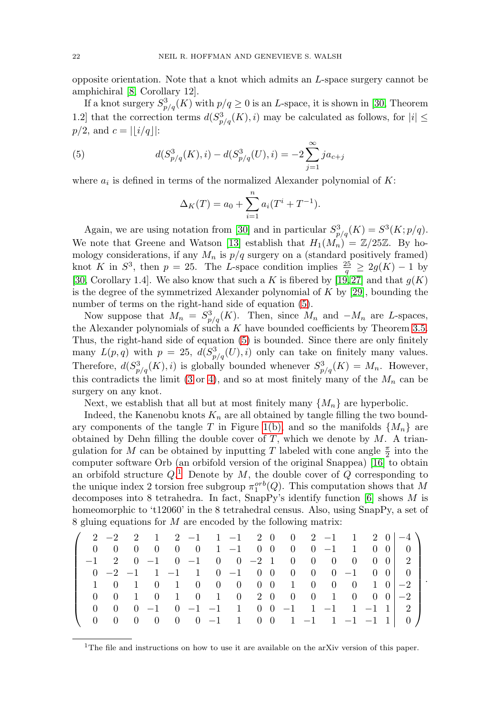opposite orientation. Note that a knot which admits an L-space surgery cannot be amphichiral [\[8,](#page-16-4) Corollary 12].

If a knot surgery  $S^3_{p/q}(K)$  with  $p/q \geq 0$  is an L-space, it is shown in [\[30,](#page-17-9) Theorem 1.2] that the correction terms  $d(S^3_{p/q}(K), i)$  may be calculated as follows, for  $|i| \leq$  $p/2$ , and  $c = |[i/q]|$ :

<span id="page-5-0"></span>(5) 
$$
d(S_{p/q}^{3}(K), i) - d(S_{p/q}^{3}(U), i) = -2 \sum_{j=1}^{\infty} ja_{c+j}
$$

where  $a_i$  is defined in terms of the normalized Alexander polynomial of  $K$ :

$$
\Delta_K(T) = a_0 + \sum_{i=1}^n a_i (T^i + T^{-1}).
$$

Again, we are using notation from [\[30\]](#page-17-9) and in particular  $S_{p/q}^3(K) = S^3(K; p/q)$ . We note that Greene and Watson [\[13\]](#page-16-7) establish that  $H_1(M_n) = \mathbb{Z}/25\mathbb{Z}$ . By homology considerations, if any  $M_n$  is  $p/q$  surgery on a (standard positively framed) knot K in  $S^3$ , then  $p = 25$ . The L-space condition implies  $\frac{25}{q} \geq 2g(K) - 1$  by [\[30,](#page-17-9) Corollary 1.4]. We also know that such a K is fibered by [\[19,](#page-17-11)27] and that  $g(K)$ is the degree of the symmetrized Alexander polynomial of  $K$  by [\[29\]](#page-17-13), bounding the number of terms on the right-hand side of equation  $(5)$ .

Now suppose that  $M_n = S_{p/q}^3(K)$ . Then, since  $M_n$  and  $-M_n$  are L-spaces, the Alexander polynomials of such a  $K$  have bounded coefficients by Theorem [3.5.](#page-4-1) Thus, the right-hand side of equation [\(5\)](#page-5-0) is bounded. Since there are only finitely many  $L(p,q)$  with  $p = 25$ ,  $d(S_{p/q}^3(U), i)$  only can take on finitely many values. Therefore,  $d(S_{p/q}^3(K), i)$  is globally bounded whenever  $S_{p/q}^3(K) = M_n$ . However, this contradicts the limit [\(3](#page-4-2) or [4\)](#page-4-3), and so at most finitely many of the  $M_n$  can be surgery on any knot.

Next, we establish that all but at most finitely many  $\{M_n\}$  are hyperbolic.

Indeed, the Kanenobu knots  $K_n$  are all obtained by tangle filling the two bound-ary components of the tangle T in Figure [1\(b\),](#page-3-1) and so the manifolds  $\{M_n\}$  are obtained by Dehn filling the double cover of  $T$ , which we denote by  $M$ . A triangulation for M can be obtained by inputting T labeled with cone angle  $\frac{\pi}{2}$  into the computer software Orb (an orbifold version of the original Snappea) [\[16\]](#page-16-8) to obtain an orbifold structure  $Q<sup>1</sup>$  $Q<sup>1</sup>$  $Q<sup>1</sup>$  Denote by M, the double cover of Q corresponding to the unique index 2 torsion free subgroup  $\pi_1^{orb}(Q)$ . This computation shows that M decomposes into 8 tetrahedra. In fact, SnapPy's identify function  $[6]$  shows M is homeomorphic to 't12060' in the 8 tetrahedral census. Also, using SnapPy, a set of 8 gluing equations for M are encoded by the following matrix:

$$
\left(\begin{array}{cccccccccccccccc} 2&-2&2&1&2&-1&1&-1&2&0&0&2&-1&1&2&0&-4\\ 0&0&0&0&0&0&1&-1&0&0&0&0&-1&1&0&0&0\\ -1&2&0&-1&0&-1&0&0&-2&1&0&0&0&0&0&0\\ 0&-2&-1&1&-1&1&0&-1&0&0&0&0&0&-1&0&0\\ 1&0&1&0&1&0&0&0&0&0&1&0&0&0&1&0\\ 0&0&1&0&1&0&1&0&2&0&0&0&1&0&0&0\\ 0&0&0&-1&0&-1&-1&1&0&0&-1&1&-1&1&-1&1\\ 0&0&0&0&0&0&-1&1&0&0&1&-1&1&-1&-1&1\\ \end{array}\right).
$$

<span id="page-5-1"></span><sup>&</sup>lt;sup>1</sup>The file and instructions on how to use it are available on the arXiv version of this paper.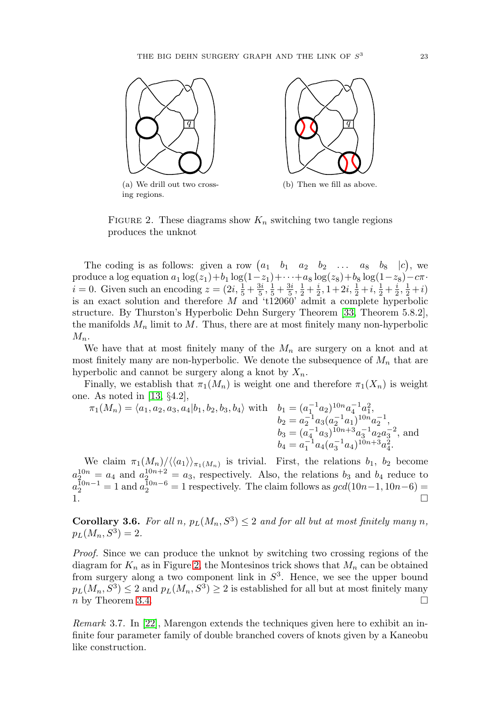

<span id="page-6-0"></span>FIGURE 2. These diagrams show  $K_n$  switching two tangle regions produces the unknot

The coding is as follows: given a row  $(a_1 \quad b_1 \quad a_2 \quad b_2 \quad \dots \quad a_8 \quad b_8 \quad |c)$ , we produce a log equation  $a_1 \log(z_1)+b_1 \log(1-z_1)+\cdots+a_8 \log(z_8)+b_8 \log(1-z_8)-c\pi$ .  $i = 0$ . Given such an encoding  $z = (2i, \frac{1}{5} + \frac{3i}{5}, \frac{1}{5} + \frac{3i}{5}, \frac{1}{2} + \frac{i}{2}, 1 + 2i, \frac{1}{2} + i, \frac{1}{2} + \frac{i}{2}, \frac{1}{2} + i)$ is an exact solution and therefore  $M$  and 't12060' admit a complete hyperbolic structure. By Thurston's Hyperbolic Dehn Surgery Theorem [\[33,](#page-17-3) Theorem 5.8.2], the manifolds  $M_n$  limit to  $M$ . Thus, there are at most finitely many non-hyperbolic  $M_n$ .

We have that at most finitely many of the  $M_n$  are surgery on a knot and at most finitely many are non-hyperbolic. We denote the subsequence of  $M_n$  that are hyperbolic and cannot be surgery along a knot by  $X_n$ .

Finally, we establish that  $\pi_1(M_n)$  is weight one and therefore  $\pi_1(X_n)$  is weight one. As noted in [\[13,](#page-16-7) §4.2],

$$
\pi_1(M_n) = \langle a_1, a_2, a_3, a_4 | b_1, b_2, b_3, b_4 \rangle \text{ with } b_1 = (a_1^{-1} a_2)^{10n} a_4^{-1} a_1^2,
$$
  
\n
$$
b_2 = a_2^{-1} a_3 (a_2^{-1} a_1)^{10n} a_2^{-1},
$$
  
\n
$$
b_3 = (a_4^{-1} a_3)^{10n+3} a_3^{-1} a_2 a_3^{-2},
$$
 and  
\n
$$
b_4 = a_1^{-1} a_4 (a_3^{-1} a_4)^{10n+3} a_4^2.
$$

We claim  $\pi_1(M_n)/\langle\langle a_1\rangle\rangle_{\pi_1(M_n)}$  is trivial. First, the relations  $b_1, b_2$  become  $a_2^{10n} = a_4$  and  $a_2^{10n+2} = a_3$ , respectively. Also, the relations  $b_3$  and  $b_4$  reduce to  $a_2^{10n-1} = 1$  and  $a_2^{10n-6} = 1$  respectively. The claim follows as  $gcd(10n-1, 10n-6) =$ 1.  $\Box$ 

**Corollary 3.6.** For all n,  $p_L(M_n, S^3) \leq 2$  and for all but at most finitely many n,  $p_L(M_n, S^3)=2.$ 

Proof. Since we can produce the unknot by switching two crossing regions of the diagram for  $K_n$  as in Figure [2,](#page-6-0) the Montesinos trick shows that  $M_n$  can be obtained from surgery along a two component link in  $S<sup>3</sup>$ . Hence, we see the upper bound  $p_L(M_n, S^3) \leq 2$  and  $p_L(M_n, S^3) \geq 2$  is established for all but at most finitely many  $n \times 3.4$ .

Remark 3.7. In [\[22\]](#page-17-14), Marengon extends the techniques given here to exhibit an infinite four parameter family of double branched covers of knots given by a Kaneobu like construction.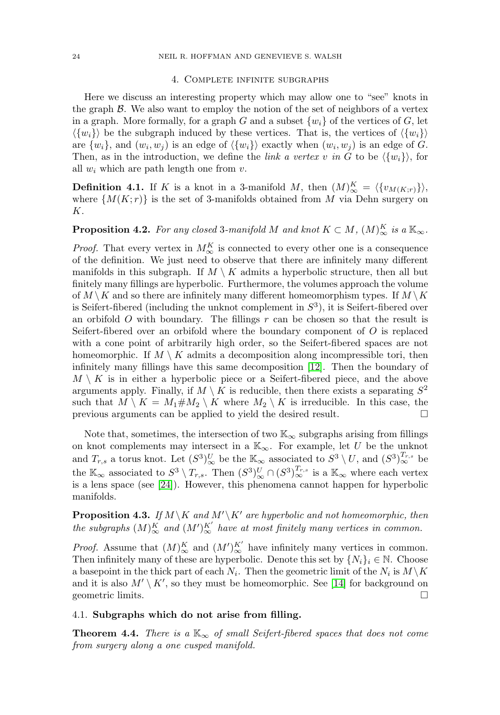#### 4. Complete infinite subgraphs

<span id="page-7-0"></span>Here we discuss an interesting property which may allow one to "see" knots in the graph  $\beta$ . We also want to employ the notion of the set of neighbors of a vertex in a graph. More formally, for a graph G and a subset  $\{w_i\}$  of the vertices of G, let  $\langle \{w_i\} \rangle$  be the subgraph induced by these vertices. That is, the vertices of  $\langle \{w_i\} \rangle$ are  $\{w_i\}$ , and  $(w_i, w_j)$  is an edge of  $\langle \{w_i\} \rangle$  exactly when  $(w_i, w_j)$  is an edge of G. Then, as in the introduction, we define the *link a vertex v in G* to be  $\{w_i\}$ , for all  $w_i$  which are path length one from  $v$ .

**Definition 4.1.** If K is a knot in a 3-manifold M, then  $(M)_{\infty}^{K} = \langle \{v_{M(K,r)}\} \rangle$ , where  $\{M(K; r)\}\$ is the set of 3-manifolds obtained from M via Dehn surgery on K.

# **Proposition 4.2.** For any closed 3-manifold M and knot  $K \subset M$ ,  $(M)_{\infty}^K$  is a  $\mathbb{K}_{\infty}$ .

*Proof.* That every vertex in  $M_{\infty}^{K}$  is connected to every other one is a consequence of the definition. We just need to observe that there are infinitely many different manifolds in this subgraph. If  $M \setminus K$  admits a hyperbolic structure, then all but finitely many fillings are hyperbolic. Furthermore, the volumes approach the volume of  $M \setminus K$  and so there are infinitely many different homeomorphism types. If  $M \setminus K$ is Seifert-fibered (including the unknot complement in  $S<sup>3</sup>$ ), it is Seifert-fibered over an orbifold  $O$  with boundary. The fillings  $r$  can be chosen so that the result is Seifert-fibered over an orbifold where the boundary component of  $O$  is replaced with a cone point of arbitrarily high order, so the Seifert-fibered spaces are not homeomorphic. If  $M \setminus K$  admits a decomposition along incompressible tori, then infinitely many fillings have this same decomposition [\[12\]](#page-16-10). Then the boundary of  $M \setminus K$  is in either a hyperbolic piece or a Seifert-fibered piece, and the above arguments apply. Finally, if  $M \setminus K$  is reducible, then there exists a separating  $S^2$ such that  $M \setminus K = M_1 \# M_2 \setminus K$  where  $M_2 \setminus K$  is irreducible. In this case, the previous arguments can be applied to yield the desired result. - $\Box$ 

Note that, sometimes, the intersection of two  $\mathbb{K}_{\infty}$  subgraphs arising from fillings on knot complements may intersect in a  $\mathbb{K}_{\infty}$ . For example, let U be the unknot and  $T_{r,s}$  a torus knot. Let  $(S^3)_{\infty}^U$  be the  $\mathbb{K}_{\infty}$  associated to  $S^3 \setminus U$ , and  $(S^3)_{\infty}^{T_{r,s}}$  be the  $\mathbb{K}_{\infty}$  associated to  $S^3 \setminus T_{r,s}$ . Then  $(S^3)_{\infty}^U \cap (S^3)_{\infty}^{T_{r,s}}$  is a  $\mathbb{K}_{\infty}$  where each vertex is a lens space (see [\[24\]](#page-17-15)). However, this phenomena cannot happen for hyperbolic manifolds.

**Proposition 4.3.** If  $M \setminus K$  and  $M' \setminus K'$  are hyperbolic and not homeomorphic, then the subgraphs  $(M)_{\infty}^K$  and  $(M')_{\infty}^{K'}$  have at most finitely many vertices in common.

*Proof.* Assume that  $(M)_{\infty}^K$  and  $(M')_{\infty}^{K'}$  have infinitely many vertices in common. Then infinitely many of these are hyperbolic. Denote this set by  $\{N_i\}_i \in \mathbb{N}$ . Choose a basepoint in the thick part of each  $N_i$ . Then the geometric limit of the  $N_i$  is  $M \backslash K$ and it is also  $M' \setminus K'$ , so they must be homeomorphic. See [\[14\]](#page-16-11) for background on geometric limits. - $\Box$ 

## 4.1. **Subgraphs which do not arise from filling.**

**Theorem 4.4.** There is a  $K_{\infty}$  of small Seifert-fibered spaces that does not come from surgery along a one cusped manifold.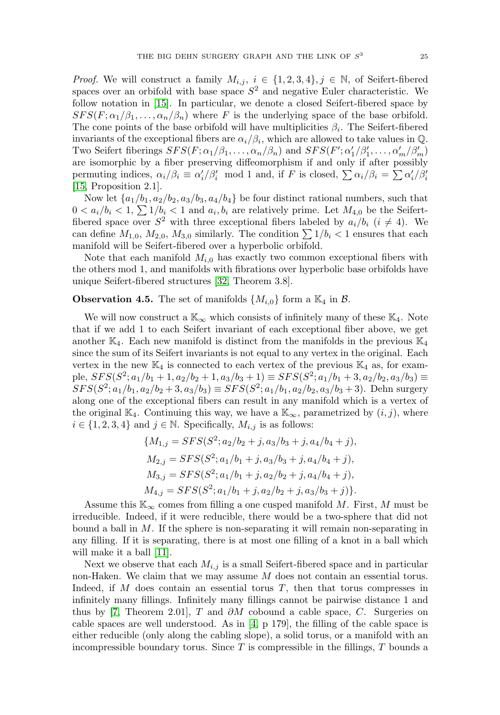*Proof.* We will construct a family  $M_{i,j}$ ,  $i \in \{1,2,3,4\}$ ,  $j \in \mathbb{N}$ , of Seifert-fibered spaces over an orbifold with base space  $S<sup>2</sup>$  and negative Euler characteristic. We follow notation in [\[15\]](#page-16-12). In particular, we denote a closed Seifert-fibered space by  $SFS(F; \alpha_1/\beta_1, \ldots, \alpha_n/\beta_n)$  where F is the underlying space of the base orbifold. The cone points of the base orbifold will have multiplicities  $\beta_i$ . The Seifert-fibered invariants of the exceptional fibers are  $\alpha_i/\beta_i$ , which are allowed to take values in Q. Two Seifert fiberings  $SFS(F; \alpha_1/\beta_1, \ldots, \alpha_n/\beta_n)$  and  $SFS(F'; \alpha'_1/\beta'_1, \ldots, \alpha'_m/\beta'_m)$ are isomorphic by a fiber preserving diffeomorphism if and only if after possibly permuting indices,  $\alpha_i/\beta_i \equiv \alpha'_i/\beta'_i \mod 1$  and, if F is closed,  $\sum \alpha_i/\beta_i = \sum \alpha'_i/\beta'_i$ [\[15,](#page-16-12) Proposition 2.1].

Now let  $\{a_1/b_1, a_2/b_2, a_3/b_3, a_4/b_4\}$  be four distinct rational numbers, such that  $0 < a_i/b_i < 1$ ,  $\sum 1/b_i < 1$  and  $a_i, b_i$  are relatively prime. Let  $M_{4,0}$  be the Seifertfibered space over  $S^2$  with three exceptional fibers labeled by  $a_i/b_i$   $(i \neq 4)$ . We can define  $M_{1,0}$ ,  $M_{2,0}$ ,  $M_{3,0}$  similarly. The condition  $\sum 1/b_i < 1$  ensures that each manifold will be Seifert-fibered over a hyperbolic orbifold.

Note that each manifold  $M_{i,0}$  has exactly two common exceptional fibers with the others mod 1, and manifolds with fibrations over hyperbolic base orbifolds have unique Seifert-fibered structures [\[32,](#page-17-16) Theorem 3.8].

## **Observation 4.5.** The set of manifolds  $\{M_{i,0}\}\$ form a  $\mathbb{K}_4$  in  $\mathcal{B}$ .

We will now construct a  $\mathbb{K}_{\infty}$  which consists of infinitely many of these  $\mathbb{K}_{4}$ . Note that if we add 1 to each Seifert invariant of each exceptional fiber above, we get another  $\mathbb{K}_4$ . Each new manifold is distinct from the manifolds in the previous  $\mathbb{K}_4$ since the sum of its Seifert invariants is not equal to any vertex in the original. Each vertex in the new  $\mathbb{K}_4$  is connected to each vertex of the previous  $\mathbb{K}_4$  as, for example,  $SFS(S^2; a_1/b_1 + 1, a_2/b_2 + 1, a_3/b_3 + 1) \equiv SFS(S^2; a_1/b_1 + 3, a_2/b_2, a_3/b_3) \equiv$  $SFS(S^2; a_1/b_1, a_2/b_2 + 3, a_3/b_3) \equiv SFS(S^2; a_1/b_1, a_2/b_2, a_3/b_3 + 3)$ . Dehn surgery along one of the exceptional fibers can result in any manifold which is a vertex of the original K<sub>4</sub>. Continuing this way, we have a K<sub>∞</sub>, parametrized by  $(i, j)$ , where  $i \in \{1, 2, 3, 4\}$  and  $j \in \mathbb{N}$ . Specifically,  $M_{i,j}$  is as follows:

$$
\{M_{1,j} = SFS(S^2; a_2/b_2 + j, a_3/b_3 + j, a_4/b_4 + j),
$$
  
\n
$$
M_{2,j} = SFS(S^2; a_1/b_1 + j, a_3/b_3 + j, a_4/b_4 + j),
$$
  
\n
$$
M_{3,j} = SFS(S^2; a_1/b_1 + j, a_2/b_2 + j, a_4/b_4 + j),
$$
  
\n
$$
M_{4,j} = SFS(S^2; a_1/b_1 + j, a_2/b_2 + j, a_3/b_3 + j)\}.
$$

Assume this  $\mathbb{K}_{\infty}$  comes from filling a one cusped manifold M. First, M must be irreducible. Indeed, if it were reducible, there would be a two-sphere that did not bound a ball in M. If the sphere is non-separating it will remain non-separating in any filling. If it is separating, there is at most one filling of a knot in a ball which will make it a ball [\[11\]](#page-16-3).

Next we observe that each  $M_{i,j}$  is a small Seifert-fibered space and in particular non-Haken. We claim that we may assume M does not contain an essential torus. Indeed, if  $M$  does contain an essential torus  $T$ , then that torus compresses in infinitely many fillings. Infinitely many fillings cannot be pairwise distance 1 and thus by [\[7,](#page-16-13) Theorem 2.01], T and  $\partial M$  cobound a cable space, C. Surgeries on cable spaces are well understood. As in [\[4,](#page-16-14) p 179], the filling of the cable space is either reducible (only along the cabling slope), a solid torus, or a manifold with an incompressible boundary torus. Since  $T$  is compressible in the fillings,  $T$  bounds a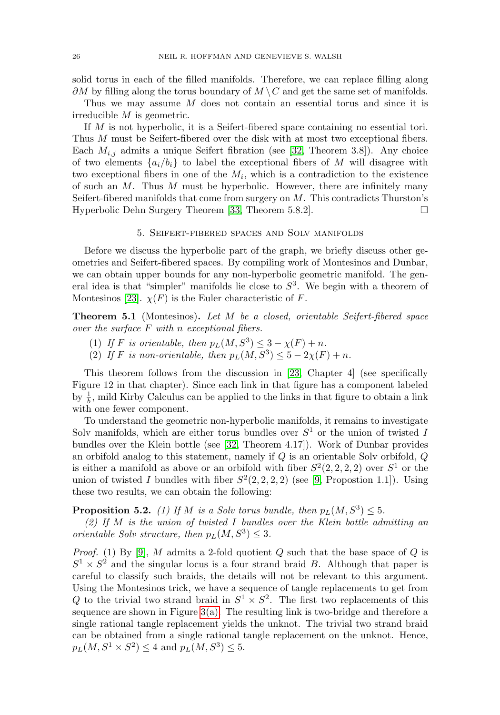solid torus in each of the filled manifolds. Therefore, we can replace filling along  $\partial M$  by filling along the torus boundary of  $M \setminus C$  and get the same set of manifolds.

Thus we may assume M does not contain an essential torus and since it is irreducible M is geometric.

If M is not hyperbolic, it is a Seifert-fibered space containing no essential tori. Thus M must be Seifert-fibered over the disk with at most two exceptional fibers. Each  $M_{i,j}$  admits a unique Seifert fibration (see [\[32,](#page-17-16) Theorem 3.8]). Any choice of two elements  $\{a_i/b_i\}$  to label the exceptional fibers of M will disagree with two exceptional fibers in one of the  $M_i$ , which is a contradiction to the existence of such an  $M$ . Thus  $M$  must be hyperbolic. However, there are infinitely many Seifert-fibered manifolds that come from surgery on  $M$ . This contradicts Thurston's Hyperbolic Dehn Surgery Theorem [\[33,](#page-17-3) Theorem 5.8.2]. - $\Box$ 

#### 5. Seifert-fibered spaces and Solv manifolds

<span id="page-9-0"></span>Before we discuss the hyperbolic part of the graph, we briefly discuss other geometries and Seifert-fibered spaces. By compiling work of Montesinos and Dunbar, we can obtain upper bounds for any non-hyperbolic geometric manifold. The general idea is that "simpler" manifolds lie close to  $S<sup>3</sup>$ . We begin with a theorem of Montesinos [\[23\]](#page-17-17).  $\chi(F)$  is the Euler characteristic of F.

**Theorem 5.1** (Montesinos)**.** Let M be a closed, orientable Seifert-fibered space over the surface F with n exceptional fibers.

- (1) If F is orientable, then  $p_L(M,S^3) \leq 3 \chi(F) + n$ .
- (2) If F is non-orientable, then  $p_L(M,S^3) \leq 5 2\chi(F) + n$ .

This theorem follows from the discussion in [\[23,](#page-17-17) Chapter 4] (see specifically Figure 12 in that chapter). Since each link in that figure has a component labeled by  $\frac{1}{b}$ , mild Kirby Calculus can be applied to the links in that figure to obtain a link with one fewer component.

To understand the geometric non-hyperbolic manifolds, it remains to investigate Solv manifolds, which are either torus bundles over  $S<sup>1</sup>$  or the union of twisted I bundles over the Klein bottle (see [\[32,](#page-17-16) Theorem 4.17]). Work of Dunbar provides an orbifold analog to this statement, namely if Q is an orientable Solv orbifold, Q is either a manifold as above or an orbifold with fiber  $S^2(2, 2, 2, 2)$  over  $S^1$  or the union of twisted I bundles with fiber  $S^2(2, 2, 2, 2)$  (see [\[9,](#page-16-15) Propostion 1.1]). Using these two results, we can obtain the following:

**Proposition 5.2.** (1) If M is a Solv torus bundle, then  $p_L(M,S^3) \leq 5$ .

 $(2)$  If M is the union of twisted I bundles over the Klein bottle admitting an orientable Solv structure, then  $p_L(M,S^3) \leq 3$ .

*Proof.* (1) By [\[9\]](#page-16-15), M admits a 2-fold quotient  $Q$  such that the base space of  $Q$  is  $S^1 \times S^2$  and the singular locus is a four strand braid B. Although that paper is careful to classify such braids, the details will not be relevant to this argument. Using the Montesinos trick, we have a sequence of tangle replacements to get from Q to the trivial two strand braid in  $S^1 \times S^2$ . The first two replacements of this sequence are shown in Figure  $3(a)$ . The resulting link is two-bridge and therefore a single rational tangle replacement yields the unknot. The trivial two strand braid can be obtained from a single rational tangle replacement on the unknot. Hence,  $p_L(M,S^1 \times S^2) \leq 4$  and  $p_L(M,S^3) \leq 5$ .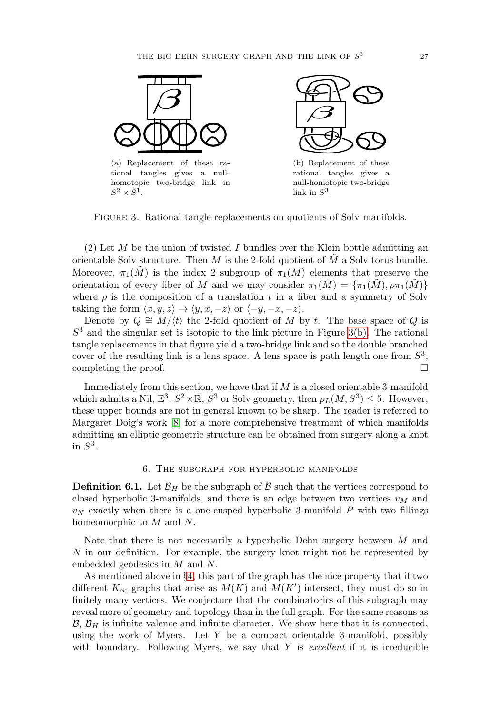<span id="page-10-1"></span>

tional tangles gives a nullhomotopic two-bridge link in  $S^2\times S^1.$ 



<span id="page-10-2"></span>(b) Replacement of these rational tangles gives a null-homotopic two-bridge link in  $S^3$ .

Figure 3. Rational tangle replacements on quotients of Solv manifolds.

(2) Let M be the union of twisted I bundles over the Klein bottle admitting an orientable Solv structure. Then  $M$  is the 2-fold quotient of  $M$  a Solv torus bundle. Moreover,  $\pi_1(M)$  is the index 2 subgroup of  $\pi_1(M)$  elements that preserve the orientation of every fiber of M and we may consider  $\pi_1(M) = {\pi_1(\tilde{M}), \rho \pi_1(\tilde{M})}$ where  $\rho$  is the composition of a translation t in a fiber and a symmetry of Solv taking the form  $\langle x, y, z \rangle \rightarrow \langle y, x, -z \rangle$  or  $\langle -y, -x, -z \rangle$ .

Denote by  $Q \cong M/\langle t \rangle$  the 2-fold quotient of M by t. The base space of Q is  $S<sup>3</sup>$  and the singular set is isotopic to the link picture in Figure [3\(b\).](#page-10-2) The rational tangle replacements in that figure yield a two-bridge link and so the double branched cover of the resulting link is a lens space. A lens space is path length one from  $S<sup>3</sup>$ , completing the proof.  $\Box$ 

Immediately from this section, we have that if  $M$  is a closed orientable 3-manifold which admits a Nil,  $\mathbb{E}^3$ ,  $S^2 \times \mathbb{R}$ ,  $S^3$  or Solv geometry, then  $p_L(M,S^3) \leq 5$ . However, these upper bounds are not in general known to be sharp. The reader is referred to Margaret Doig's work [\[8\]](#page-16-4) for a more comprehensive treatment of which manifolds admitting an elliptic geometric structure can be obtained from surgery along a knot in  $S^3$ .

#### 6. The subgraph for hyperbolic manifolds

<span id="page-10-0"></span>**Definition 6.1.** Let  $\mathcal{B}_H$  be the subgraph of  $\mathcal{B}$  such that the vertices correspond to closed hyperbolic 3-manifolds, and there is an edge between two vertices  $v_M$  and  $v_N$  exactly when there is a one-cusped hyperbolic 3-manifold P with two fillings homeomorphic to M and N.

Note that there is not necessarily a hyperbolic Dehn surgery between M and N in our definition. For example, the surgery knot might not be represented by embedded geodesics in M and N.

As mentioned above in §[4,](#page-7-0) this part of the graph has the nice property that if two different  $K_{\infty}$  graphs that arise as  $M(K)$  and  $M(K')$  intersect, they must do so in finitely many vertices. We conjecture that the combinatorics of this subgraph may reveal more of geometry and topology than in the full graph. For the same reasons as  $\mathcal{B}, \mathcal{B}_H$  is infinite valence and infinite diameter. We show here that it is connected, using the work of Myers. Let  $Y$  be a compact orientable 3-manifold, possibly with boundary. Following Myers, we say that  $Y$  is *excellent* if it is irreducible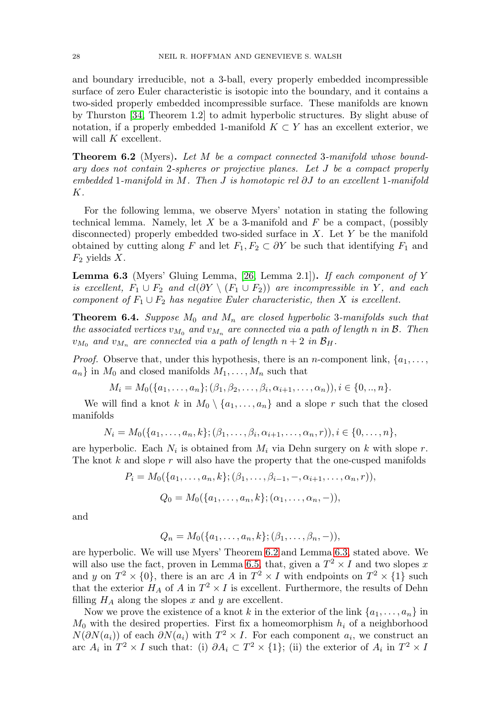and boundary irreducible, not a 3-ball, every properly embedded incompressible surface of zero Euler characteristic is isotopic into the boundary, and it contains a two-sided properly embedded incompressible surface. These manifolds are known by Thurston [\[34,](#page-17-18) Theorem 1.2] to admit hyperbolic structures. By slight abuse of notation, if a properly embedded 1-manifold  $K \subset Y$  has an excellent exterior, we will call K excellent.

<span id="page-11-0"></span>**Theorem 6.2** (Myers)**.** Let M be a compact connected 3-manifold whose boundary does not contain 2-spheres or projective planes. Let J be a compact properly embedded 1-manifold in M. Then J is homotopic rel ∂J to an excellent 1-manifold K.

For the following lemma, we observe Myers' notation in stating the following technical lemma. Namely, let  $X$  be a 3-manifold and  $F$  be a compact, (possibly disconnected) properly embedded two-sided surface in  $X$ . Let  $Y$  be the manifold obtained by cutting along F and let  $F_1, F_2 \subset \partial Y$  be such that identifying  $F_1$  and  $F_2$  yields X.

<span id="page-11-1"></span>**Lemma 6.3** (Myers' Gluing Lemma, [\[26,](#page-17-2) Lemma 2.1])**.** If each component of Y is excellent,  $F_1 \cup F_2$  and  $cl(\partial Y \setminus (F_1 \cup F_2))$  are incompressible in Y, and each component of  $F_1 \cup F_2$  has negative Euler characteristic, then X is excellent.

**Theorem 6.4.** Suppose  $M_0$  and  $M_n$  are closed hyperbolic 3-manifolds such that the associated vertices  $v_{M_0}$  and  $v_{M_n}$  are connected via a path of length n in  $\mathcal{B}$ . Then  $v_{M_0}$  and  $v_{M_n}$  are connected via a path of length  $n+2$  in  $\mathcal{B}_H$ .

*Proof.* Observe that, under this hypothesis, there is an *n*-component link,  $\{a_1, \ldots, a_n\}$  $a_n$  in  $M_0$  and closed manifolds  $M_1, \ldots, M_n$  such that

$$
M_i = M_0({a_1, \ldots, a_n}; (\beta_1, \beta_2, \ldots, \beta_i, \alpha_{i+1}, \ldots, \alpha_n)), i \in \{0, \ldots, n\}.
$$

We will find a knot k in  $M_0 \setminus \{a_1,\ldots,a_n\}$  and a slope r such that the closed manifolds

$$
N_i = M_0({a_1, ..., a_n, k}; (\beta_1, ..., \beta_i, \alpha_{i+1}, ..., \alpha_n, r)), i \in \{0, ..., n\},\
$$

are hyperbolic. Each  $N_i$  is obtained from  $M_i$  via Dehn surgery on k with slope r. The knot  $k$  and slope  $r$  will also have the property that the one-cusped manifolds

$$
P_i = M_0({a_1, ..., a_n, k}; (\beta_1, ..., \beta_{i-1}, -, \alpha_{i+1}, ..., \alpha_n, r)),
$$
  

$$
Q_0 = M_0({a_1, ..., a_n, k}; (\alpha_1, ..., \alpha_n, -)),
$$

and

$$
Q_n = M_0({a_1, \ldots, a_n, k}; (\beta_1, \ldots, \beta_n, -)),
$$

are hyperbolic. We will use Myers' Theorem [6.2](#page-11-0) and Lemma [6.3,](#page-11-1) stated above. We will also use the fact, proven in Lemma [6.5,](#page-12-0) that, given a  $T^2 \times I$  and two slopes x and y on  $T^2 \times \{0\}$ , there is an arc A in  $T^2 \times I$  with endpoints on  $T^2 \times \{1\}$  such that the exterior  $H_A$  of A in  $T^2 \times I$  is excellent. Furthermore, the results of Dehn filling  $H_A$  along the slopes x and y are excellent.

Now we prove the existence of a knot k in the exterior of the link  $\{a_1, \ldots, a_n\}$  in  $M_0$  with the desired properties. First fix a homeomorphism  $h_i$  of a neighborhood  $N(\partial N(a_i))$  of each  $\partial N(a_i)$  with  $T^2 \times I$ . For each component  $a_i$ , we construct an arc  $A_i$  in  $T^2 \times I$  such that: (i)  $\partial A_i \subset T^2 \times \{1\}$ ; (ii) the exterior of  $A_i$  in  $T^2 \times I$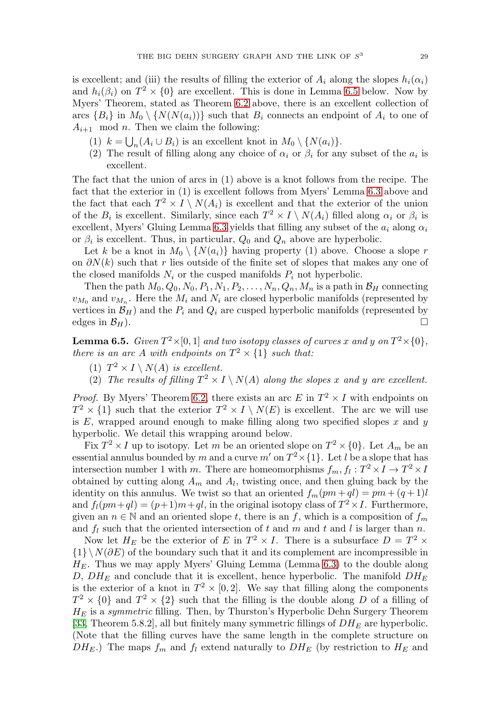is excellent; and (iii) the results of filling the exterior of  $A_i$  along the slopes  $h_i(\alpha_i)$ and  $h_i(\beta_i)$  on  $T^2 \times \{0\}$  are excellent. This is done in Lemma [6.5](#page-12-0) below. Now by Myers' Theorem, stated as Theorem [6.2](#page-11-0) above, there is an excellent collection of arcs  ${B_i}$  in  $M_0 \setminus {N(N(a_i))}$  such that  $B_i$  connects an endpoint of  $A_i$  to one of  $A_{i+1}$  mod *n*. Then we claim the following:

- (1)  $k = \bigcup_n (A_i \cup B_i)$  is an excellent knot in  $M_0 \setminus \{N(a_i)\}.$
- (2) The result of filling along any choice of  $\alpha_i$  or  $\beta_i$  for any subset of the  $a_i$  is excellent.

The fact that the union of arcs in (1) above is a knot follows from the recipe. The fact that the exterior in (1) is excellent follows from Myers' Lemma [6.3](#page-11-1) above and the fact that each  $T^2 \times I \setminus N(A_i)$  is excellent and that the exterior of the union of the  $B_i$  is excellent. Similarly, since each  $T^2 \times I \setminus N(A_i)$  filled along  $\alpha_i$  or  $\beta_i$  is excellent, Myers' Gluing Lemma [6.3](#page-11-1) yields that filling any subset of the  $a_i$  along  $\alpha_i$ or  $\beta_i$  is excellent. Thus, in particular,  $Q_0$  and  $Q_n$  above are hyperbolic.

Let k be a knot in  $M_0 \setminus \{N(a_i)\}\$  having property (1) above. Choose a slope r on  $\partial N(k)$  such that r lies outside of the finite set of slopes that makes any one of the closed manifolds  $N_i$  or the cusped manifolds  $P_i$  not hyperbolic.

Then the path  $M_0, Q_0, N_0, P_1, N_1, P_2, \ldots, N_n, Q_n, M_n$  is a path in  $\mathcal{B}_H$  connecting  $v_{M_0}$  and  $v_{M_n}$ . Here the  $M_i$  and  $N_i$  are closed hyperbolic manifolds (represented by vertices in  $\mathcal{B}_H$ ) and the  $P_i$  and  $Q_i$  are cusped hyperbolic manifolds (represented by edges in  $\mathcal{B}_H$ ).  $\Box$ 

<span id="page-12-0"></span>**Lemma 6.5.** Given  $T^2 \times [0, 1]$  and two isotopy classes of curves x and y on  $T^2 \times \{0\}$ , there is an arc A with endpoints on  $T^2 \times \{1\}$  such that:

- (1)  $T^2 \times I \setminus N(A)$  is excellent.
- (2) The results of filling  $T^2 \times I \setminus N(A)$  along the slopes x and y are excellent.

*Proof.* By Myers' Theorem [6.2,](#page-11-0) there exists an arc E in  $T^2 \times I$  with endpoints on  $T^2 \times \{1\}$  such that the exterior  $T^2 \times I \setminus N(E)$  is excellent. The arc we will use is  $E$ , wrapped around enough to make filling along two specified slopes  $x$  and  $y$ hyperbolic. We detail this wrapping around below.

Fix  $T^2 \times I$  up to isotopy. Let m be an oriented slope on  $T^2 \times \{0\}$ . Let  $A_m$  be an essential annulus bounded by m and a curve  $m'$  on  $T^2\times\{1\}$ . Let l be a slope that has intersection number 1 with m. There are homeomorphisms  $f_m, f_l : T^2 \times I \to T^2 \times I$ obtained by cutting along  $A_m$  and  $A_l$ , twisting once, and then gluing back by the identity on this annulus. We twist so that an oriented  $f_m(pm + ql) = pm + (q + 1)l$ and  $f_l(pm+ql)=(p+1)m+ql$ , in the original isotopy class of  $T^2\times I$ . Furthermore, given an  $n \in \mathbb{N}$  and an oriented slope t, there is an f, which is a composition of  $f_m$ and  $f_l$  such that the oriented intersection of t and m and t and l is larger than n.

Now let  $H_E$  be the exterior of E in  $T^2 \times I$ . There is a subsurface  $D = T^2 \times I$  ${1}\N(\partial E)$  of the boundary such that it and its complement are incompressible in  $H<sub>E</sub>$ . Thus we may apply Myers' Gluing Lemma (Lemma [6.3\)](#page-11-1) to the double along D,  $DH_E$  and conclude that it is excellent, hence hyperbolic. The manifold  $DH_E$ is the exterior of a knot in  $T^2 \times [0, 2]$ . We say that filling along the components  $T^2 \times \{0\}$  and  $T^2 \times \{2\}$  such that the filling is the double along D of a filling of  $H_E$  is a *symmetric* filling. Then, by Thurston's Hyperbolic Dehn Surgery Theorem [\[33,](#page-17-3) Theorem 5.8.2], all but finitely many symmetric fillings of  $DH_E$  are hyperbolic. (Note that the filling curves have the same length in the complete structure on  $DH_E$ .) The maps  $f_m$  and  $f_l$  extend naturally to  $DH_E$  (by restriction to  $H_E$  and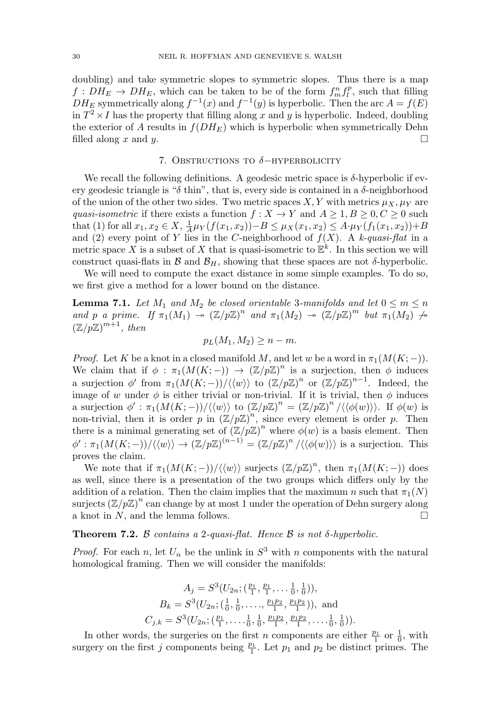doubling) and take symmetric slopes to symmetric slopes. Thus there is a map  $f: DH_E \to DH_E$ , which can be taken to be of the form  $f_m^n f_l^p$ , such that filling  $DH_E$  symmetrically along  $f^{-1}(x)$  and  $f^{-1}(y)$  is hyperbolic. Then the arc  $A = f(E)$ in  $T^2 \times I$  has the property that filling along x and y is hyperbolic. Indeed, doubling the exterior of  $A$  results in  $f(DH_E)$  which is hyperbolic when symmetrically Dehn filled along x and y.  $\Box$ 

### 7. OBSTRUCTIONS TO  $\delta$ -HYPERBOLICITY

<span id="page-13-0"></span>We recall the following definitions. A geodesic metric space is  $\delta$ -hyperbolic if every geodesic triangle is " $\delta$  thin", that is, every side is contained in a  $\delta$ -neighborhood of the union of the other two sides. Two metric spaces X, Y with metrics  $\mu_X, \mu_Y$  are quasi-isometric if there exists a function  $f : X \to Y$  and  $A \geq 1, B \geq 0, C \geq 0$  such that (1) for all  $x_1, x_2 \in X$ ,  $\frac{1}{A} \mu_Y(f(x_1, x_2)) - B \leq \mu_X(x_1, x_2) \leq A \cdot \mu_Y(f_1(x_1, x_2)) + B$ and (2) every point of Y lies in the C-neighborhood of  $f(X)$ . A k-quasi-flat in a metric space X is a subset of X that is quasi-isometric to  $\mathbb{E}^k$ . In this section we will construct quasi-flats in  $\mathcal{B}$  and  $\mathcal{B}_H$ , showing that these spaces are not  $\delta$ -hyperbolic.

We will need to compute the exact distance in some simple examples. To do so, we first give a method for a lower bound on the distance.

<span id="page-13-1"></span>**Lemma 7.1.** Let  $M_1$  and  $M_2$  be closed orientable 3-manifolds and let  $0 \le m \le n$ and p a prime. If  $\pi_1(M_1) \to (\mathbb{Z}/p\mathbb{Z})^n$  and  $\pi_1(M_2) \to (\mathbb{Z}/p\mathbb{Z})^m$  but  $\pi_1(M_2) \to$  $(\mathbb{Z}/p\mathbb{Z})^{m+1}$ , then

$$
p_L(M_1, M_2) \ge n - m.
$$

*Proof.* Let K be a knot in a closed manifold M, and let w be a word in  $\pi_1(M(K; -))$ . We claim that if  $\phi : \pi_1(M(K; -)) \to (\mathbb{Z}/p\mathbb{Z})^n$  is a surjection, then  $\phi$  induces a surjection  $\phi'$  from  $\pi_1(M(K; -))/\langle \langle w \rangle \rangle$  to  $(\mathbb{Z}/p\mathbb{Z})^n$  or  $(\mathbb{Z}/p\mathbb{Z})^{n-1}$ . Indeed, the image of w under  $\phi$  is either trivial or non-trivial. If it is trivial, then  $\phi$  induces a surjection  $\phi' : \pi_1(M(K; -)) / \langle \langle w \rangle \rangle$  to  $(\mathbb{Z}/p\mathbb{Z})^n = (\mathbb{Z}/p\mathbb{Z})^n / \langle \langle \phi(w) \rangle \rangle$ . If  $\phi(w)$  is non-trivial, then it is order p in  $(\mathbb{Z}/p\mathbb{Z})^n$ , since every element is order p. Then there is a minimal generating set of  $(\mathbb{Z}/p\mathbb{Z})^n$  where  $\phi(w)$  is a basis element. Then  $\phi': \pi_1(M(K;-))/\langle\langle w\rangle\rangle \to (\mathbb{Z}/p\mathbb{Z})^{(n-1)} = (\mathbb{Z}/p\mathbb{Z})^n/\langle\langle\phi(w)\rangle\rangle$  is a surjection. This proves the claim.

We note that if  $\pi_1(M(K; -))/\langle \langle w \rangle \rangle$  surjects  $(\mathbb{Z}/p\mathbb{Z})^n$ , then  $\pi_1(M(K; -))$  does as well, since there is a presentation of the two groups which differs only by the addition of a relation. Then the claim implies that the maximum n such that  $\pi_1(N)$ surjects  $(\mathbb{Z}/p\mathbb{Z})^n$  can change by at most 1 under the operation of Dehn surgery along a knot in  $N$ , and the lemma follows.  $\Box$ 

<span id="page-13-2"></span>**Theorem 7.2.** B contains a 2-quasi-flat. Hence B is not  $\delta$ -hyperbolic.

*Proof.* For each n, let  $U_n$  be the unlink in  $S^3$  with n components with the natural homological framing. Then we will consider the manifolds:

$$
A_j = S^3(U_{2n}; (\frac{p_1}{1}, \frac{p_1}{1}, \dots, \frac{1}{0}, \frac{1}{0})),
$$
  
\n
$$
B_k = S^3(U_{2n}; (\frac{1}{0}, \frac{1}{0}, \dots, \frac{p_1p_2}{1}, \frac{p_1p_2}{1})),
$$
 and  
\n
$$
C_{j,k} = S^3(U_{2n}; (\frac{p_1}{1}, \dots, \frac{1}{0}, \frac{1}{0}, \frac{p_1p_2}{1}, \frac{p_1p_2}{1}, \dots, \frac{1}{0}, \frac{1}{0})).
$$

In other words, the surgeries on the first *n* components are either  $\frac{p_1}{1}$  or  $\frac{1}{0}$ , with surgery on the first j components being  $\frac{p_1}{1}$ . Let  $p_1$  and  $p_2$  be distinct primes. The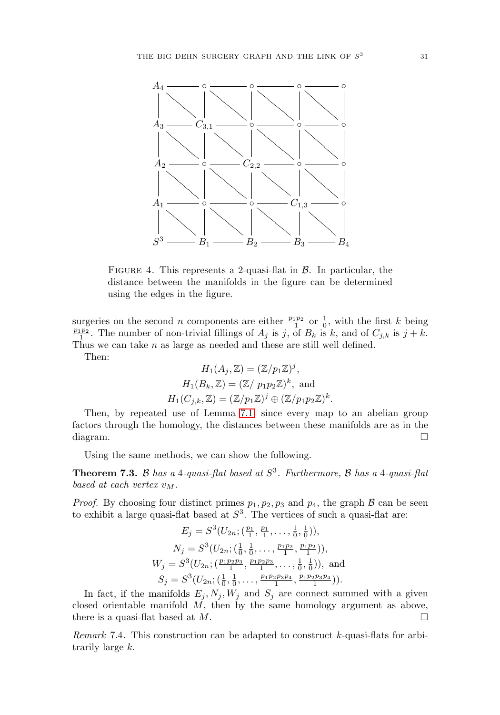

FIGURE 4. This represents a 2-quasi-flat in  $\beta$ . In particular, the distance between the manifolds in the figure can be determined using the edges in the figure.

surgeries on the second *n* components are either  $\frac{p_1p_2}{1}$  or  $\frac{1}{0}$ , with the first *k* being  $\frac{p_1p_2}{1}$ . The number of non-trivial fillings of  $A_j$  is j, of  $B_k$  is k, and of  $C_{j,k}$  is  $j + k$ . Thus we can take n as large as needed and these are still well defined.

Then:

$$
H_1(A_j, \mathbb{Z}) = (\mathbb{Z}/p_1\mathbb{Z})^j,
$$
  
\n
$$
H_1(B_k, \mathbb{Z}) = (\mathbb{Z}/p_1p_2\mathbb{Z})^k, \text{ and}
$$
  
\n
$$
H_1(C_{j,k}, \mathbb{Z}) = (\mathbb{Z}/p_1\mathbb{Z})^j \oplus (\mathbb{Z}/p_1p_2\mathbb{Z})^k.
$$

Then, by repeated use of Lemma [7.1,](#page-13-1) since every map to an abelian group factors through the homology, the distances between these manifolds are as in the diagram.  $\Box$  $\Box$ 

Using the same methods, we can show the following.

**Theorem 7.3.** B has a 4-quasi-flat based at  $S<sup>3</sup>$ . Furthermore, B has a 4-quasi-flat based at each vertex  $v_M$ .

*Proof.* By choosing four distinct primes  $p_1, p_2, p_3$  and  $p_4$ , the graph  $\beta$  can be seen to exhibit a large quasi-flat based at  $S<sup>3</sup>$ . The vertices of such a quasi-flat are:  $\overline{1}$  , p1

 $\mathbf{1}$  ,  $\mathbf{1}$  ,  $\mathbf{1}$ 

$$
E_j = S^3(U_{2n}; (\frac{p_1}{1}, \frac{p_1}{1}, \dots, \frac{1}{0}, \frac{1}{0})),
$$
  
\n
$$
N_j = S^3(U_{2n}; (\frac{1}{0}, \frac{1}{0}, \dots, \frac{p_1p_2}{1}, \frac{p_1p_2}{1})),
$$
  
\n
$$
W_j = S^3(U_{2n}; (\frac{p_1p_2p_3}{1}, \frac{p_1p_2p_3}{1}, \dots, \frac{1}{0}, \frac{1}{0})),
$$
 and  
\n
$$
S_j = S^3(U_{2n}; (\frac{1}{0}, \frac{1}{0}, \dots, \frac{p_1p_2p_3p_4}{1}, \frac{p_1p_2p_3p_4}{1})).
$$

In fact, if the manifolds  $E_i, N_i, W_j$  and  $S_i$  are connect summed with a given closed orientable manifold  $M$ , then by the same homology argument as above, there is a quasi-flat based at  $M$ .

Remark 7.4. This construction can be adapted to construct k-quasi-flats for arbitrarily large k.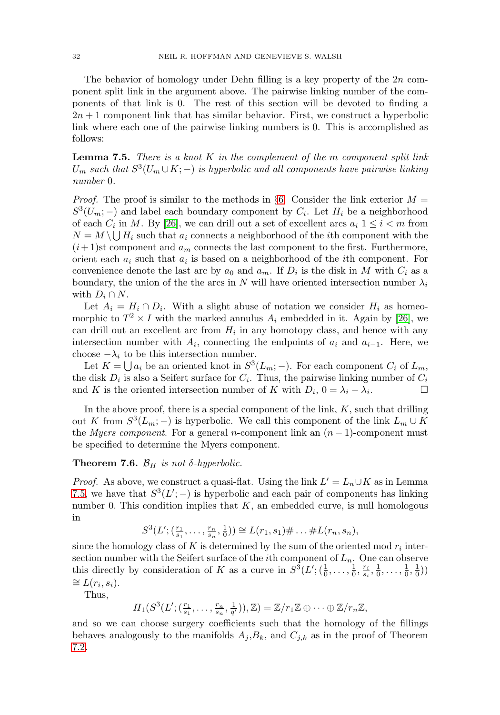The behavior of homology under Dehn filling is a key property of the 2n component split link in the argument above. The pairwise linking number of the components of that link is 0. The rest of this section will be devoted to finding a  $2n + 1$  component link that has similar behavior. First, we construct a hyperbolic link where each one of the pairwise linking numbers is 0. This is accomplished as follows:

<span id="page-15-0"></span>**Lemma 7.5.** There is a knot K in the complement of the m component split link  $U_m$  such that  $S^3(U_m \cup K; -)$  is hyperbolic and all components have pairwise linking number 0.

*Proof.* The proof is similar to the methods in §[6.](#page-10-0) Consider the link exterior  $M =$  $S^3(U_m; -)$  and label each boundary component by  $C_i$ . Let  $H_i$  be a neighborhood of each  $C_i$  in M. By [\[26\]](#page-17-2), we can drill out a set of excellent arcs  $a_i$  1  $\leq i < m$  from  $N = M \setminus \bigcup H_i$  such that  $a_i$  connects a neighborhood of the *i*th component with the  $(i+1)$ st component and  $a_m$  connects the last component to the first. Furthermore, orient each  $a_i$  such that  $a_i$  is based on a neighborhood of the *i*th component. For convenience denote the last arc by  $a_0$  and  $a_m$ . If  $D_i$  is the disk in M with  $C_i$  as a boundary, the union of the the arcs in N will have oriented intersection number  $\lambda_i$ with  $D_i \cap N$ .

Let  $A_i = H_i \cap D_i$ . With a slight abuse of notation we consider  $H_i$  as homeomorphic to  $T^2 \times I$  with the marked annulus  $A_i$  embedded in it. Again by [\[26\]](#page-17-2), we can drill out an excellent arc from  $H_i$  in any homotopy class, and hence with any intersection number with  $A_i$ , connecting the endpoints of  $a_i$  and  $a_{i-1}$ . Here, we choose  $-\lambda_i$  to be this intersection number.

Let  $K = \bigcup a_i$  be an oriented knot in  $S^3(L_m; -)$ . For each component  $C_i$  of  $L_m$ , the disk  $D_i$  is also a Seifert surface for  $C_i$ . Thus, the pairwise linking number of  $C_i$ and K is the oriented intersection number of K with  $D_i$ ,  $0 = \lambda_i - \lambda_i$ .

In the above proof, there is a special component of the link,  $K$ , such that drilling out K from  $S^3(L_m; -)$  is hyperbolic. We call this component of the link  $L_m \cup K$ the *Myers component*. For a general n-component link an  $(n - 1)$ -component must be specified to determine the Myers component.

## **Theorem 7.6.**  $\mathcal{B}_H$  is not  $\delta$ -hyperbolic.

*Proof.* As above, we construct a quasi-flat. Using the link  $L' = L_n \cup K$  as in Lemma [7.5,](#page-15-0) we have that  $S^3(L';-)$  is hyperbolic and each pair of components has linking number 0. This condition implies that  $K$ , an embedded curve, is null homologous in

$$
S^{3}(L'; (\frac{r_1}{s_1}, \ldots, \frac{r_n}{s_n}, \frac{1}{0})) \cong L(r_1, s_1) \# \ldots \# L(r_n, s_n),
$$

since the homology class of K is determined by the sum of the oriented mod  $r_i$  intersection number with the Seifert surface of the *i*th component of  $L_n$ . One can observe this directly by consideration of K as a curve in  $S^3(L';(\frac{1}{0},\ldots,\frac{1}{0},\frac{r_i}{s_i},\frac{1}{0},\ldots,\frac{1}{0},\frac{1}{0}))$  $\cong L(r_i, s_i).$ 

Thus,

 $H_1(S^3(L'; (\frac{r_1}{s_1}, \ldots, \frac{r_n}{s_n}, \frac{1}{q'})), \mathbb{Z}) = \mathbb{Z}/r_1\mathbb{Z} \oplus \cdots \oplus \mathbb{Z}/r_n\mathbb{Z},$ 

and so we can choose surgery coefficients such that the homology of the fillings behaves analogously to the manifolds  $A_j, B_k$ , and  $C_{j,k}$  as in the proof of Theorem [7.2.](#page-13-2)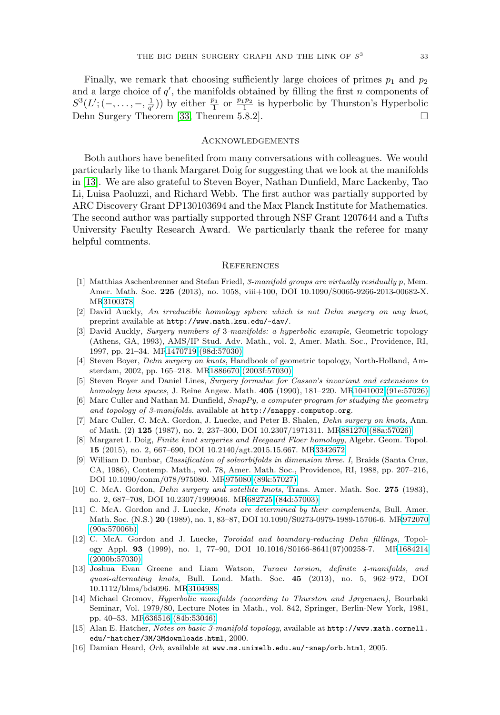Finally, we remark that choosing sufficiently large choices of primes  $p_1$  and  $p_2$ and a large choice of  $q'$ , the manifolds obtained by filling the first n components of  $S^3(L'; (-, \ldots, -, \frac{1}{q'}))$  by either  $\frac{p_1}{1}$  or  $\frac{p_1p_2}{1}$  is hyperbolic by Thurston's Hyperbolic Dehn Surgery Theorem [\[33,](#page-17-3) Theorem 5.8.2].  $\Box$ 

#### Acknowledgements

Both authors have benefited from many conversations with colleagues. We would particularly like to thank Margaret Doig for suggesting that we look at the manifolds in [\[13\]](#page-16-7). We are also grateful to Steven Boyer, Nathan Dunfield, Marc Lackenby, Tao Li, Luisa Paoluzzi, and Richard Webb. The first author was partially supported by ARC Discovery Grant DP130103694 and the Max Planck Institute for Mathematics. The second author was partially supported through NSF Grant 1207644 and a Tufts University Faculty Research Award. We particularly thank the referee for many helpful comments.

#### **REFERENCES**

- <span id="page-16-2"></span>[1] Matthias Aschenbrenner and Stefan Friedl, 3-manifold groups are virtually residually p, Mem. Amer. Math. Soc. **225** (2013), no. 1058, viii+100, DOI 10.1090/S0065-9266-2013-00682-X. M[R3100378](http://www.ams.org/mathscinet-getitem?mr=3100378)
- <span id="page-16-6"></span>[2] David Auckly, An irreducible homology sphere which is not Dehn surgery on any knot, preprint available at <http://www.math.ksu.edu/~dav/>.
- <span id="page-16-0"></span>[3] David Auckly, Surgery numbers of 3-manifolds: a hyperbolic example, Geometric topology (Athens, GA, 1993), AMS/IP Stud. Adv. Math., vol. 2, Amer. Math. Soc., Providence, RI, 1997, pp. 21–34. M[R1470719 \(98d:57030\)](http://www.ams.org/mathscinet-getitem?mr=1470719)
- <span id="page-16-14"></span>[4] Steven Boyer, Dehn surgery on knots, Handbook of geometric topology, North-Holland, Amsterdam, 2002, pp. 165–218. M[R1886670 \(2003f:57030\)](http://www.ams.org/mathscinet-getitem?mr=1886670)
- <span id="page-16-5"></span>[5] Steven Boyer and Daniel Lines, Surgery formulae for Casson's invariant and extensions to homology lens spaces, J. Reine Angew. Math. **405** (1990), 181–220. M[R1041002 \(91e:57026\)](http://www.ams.org/mathscinet-getitem?mr=1041002)
- <span id="page-16-9"></span>[6] Marc Culler and Nathan M. Dunfield, SnapPy, a computer program for studying the geometry and topology of 3-manifolds. available at <http://snappy.computop.org>.
- <span id="page-16-13"></span>[7] Marc Culler, C. McA. Gordon, J. Luecke, and Peter B. Shalen, Dehn surgery on knots, Ann. of Math. (2) **125** (1987), no. 2, 237–300, DOI 10.2307/1971311. M[R881270 \(88a:57026\)](http://www.ams.org/mathscinet-getitem?mr=881270)
- <span id="page-16-4"></span>[8] Margaret I. Doig, Finite knot surgeries and Heegaard Floer homology, Algebr. Geom. Topol. **15** (2015), no. 2, 667–690, DOI 10.2140/agt.2015.15.667. M[R3342672](http://www.ams.org/mathscinet-getitem?mr=3342672)
- <span id="page-16-15"></span>[9] William D. Dunbar, Classification of solvorbifolds in dimension three. I, Braids (Santa Cruz, CA, 1986), Contemp. Math., vol. 78, Amer. Math. Soc., Providence, RI, 1988, pp. 207–216, DOI 10.1090/conm/078/975080. M[R975080 \(89k:57027\)](http://www.ams.org/mathscinet-getitem?mr=975080)
- <span id="page-16-1"></span>[10] C. McA. Gordon, Dehn surgery and satellite knots, Trans. Amer. Math. Soc. **275** (1983), no. 2, 687–708, DOI 10.2307/1999046. M[R682725 \(84d:57003\)](http://www.ams.org/mathscinet-getitem?mr=682725)
- <span id="page-16-3"></span>[11] C. McA. Gordon and J. Luecke, Knots are determined by their complements, Bull. Amer. Math. Soc. (N.S.) **20** (1989), no. 1, 83–87, DOI 10.1090/S0273-0979-1989-15706-6. M[R972070](http://www.ams.org/mathscinet-getitem?mr=972070) [\(90a:57006b\)](http://www.ams.org/mathscinet-getitem?mr=972070)
- <span id="page-16-10"></span>[12] C. McA. Gordon and J. Luecke, Toroidal and boundary-reducing Dehn fillings, Topology Appl. **93** (1999), no. 1, 77–90, DOI 10.1016/S0166-8641(97)00258-7. M[R1684214](http://www.ams.org/mathscinet-getitem?mr=1684214) [\(2000b:57030\)](http://www.ams.org/mathscinet-getitem?mr=1684214)
- <span id="page-16-7"></span>[13] Joshua Evan Greene and Liam Watson, Turaev torsion, definite 4-manifolds, and quasi-alternating knots, Bull. Lond. Math. Soc. **45** (2013), no. 5, 962–972, DOI 10.1112/blms/bds096. M[R3104988](http://www.ams.org/mathscinet-getitem?mr=3104988)
- <span id="page-16-11"></span>[14] Michael Gromov, Hyperbolic manifolds (according to Thurston and Jørgensen), Bourbaki Seminar, Vol. 1979/80, Lecture Notes in Math., vol. 842, Springer, Berlin-New York, 1981, pp. 40–53. M[R636516 \(84b:53046\)](http://www.ams.org/mathscinet-getitem?mr=636516)
- <span id="page-16-12"></span>[15] Alan E. Hatcher, Notes on basic 3-manifold topology, available at [http://www.math.cornell.](http://www.math.cornell.edu/~hatcher/3M/3Mdownloads.html) [edu/~hatcher/3M/3Mdownloads.html](http://www.math.cornell.edu/~hatcher/3M/3Mdownloads.html), 2000.
- <span id="page-16-8"></span>[16] Damian Heard, Orb, available at <www.ms.unimelb.edu.au/~snap/orb.html>, 2005.